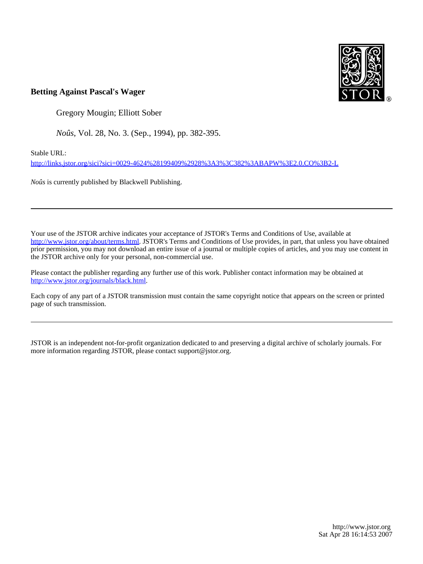

# **Betting Against Pascal's Wager**

Gregory Mougin; Elliott Sober

*Noûs*, Vol. 28, No. 3. (Sep., 1994), pp. 382-395.

Stable URL:

<http://links.jstor.org/sici?sici=0029-4624%28199409%2928%3A3%3C382%3ABAPW%3E2.0.CO%3B2-L>

*Noûs* is currently published by Blackwell Publishing.

Your use of the JSTOR archive indicates your acceptance of JSTOR's Terms and Conditions of Use, available at [http://www.jstor.org/about/terms.html.](http://www.jstor.org/about/terms.html) JSTOR's Terms and Conditions of Use provides, in part, that unless you have obtained prior permission, you may not download an entire issue of a journal or multiple copies of articles, and you may use content in the JSTOR archive only for your personal, non-commercial use.

Please contact the publisher regarding any further use of this work. Publisher contact information may be obtained at <http://www.jstor.org/journals/black.html>.

Each copy of any part of a JSTOR transmission must contain the same copyright notice that appears on the screen or printed page of such transmission.

JSTOR is an independent not-for-profit organization dedicated to and preserving a digital archive of scholarly journals. For more information regarding JSTOR, please contact support@jstor.org.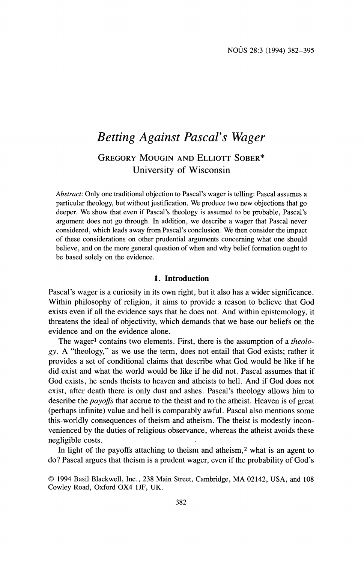# *Betting Against Pascal's Wager*  GREGORY MOUGIN AND ELLIOTT SOBER\*

University of Wisconsin

*Abstract:* Only one traditional objection to Pascal's wager is telling: Pascal assumes a particular theology, but without justification. We produce two new objections that go deeper. We show that even if Pascal's theology is assumed to be probable, Pascal's argument does not go through. In addition, we describe a wager that Pascal never considered, which leads away from Pascal's conclusion. We then consider the impact of these considerations on other prudential arguments concerning what one should believe, and on the more general question of when and why belief formation ought to be based solely on the evidence.

## **1. Introduction**

Pascal's wager is a curiosity in its own right, but it also has a wider significance. Within philosophy of religion, it aims to provide a reason to believe that God exists even if all the evidence says that he does not. And within epistemology, it threatens the ideal of objectivity, which demands that we base our beliefs on the evidence and on the evidence alone.

The wager<sup>1</sup> contains two elements. First, there is the assumption of a *theology.* A "theology," as we use the term, does not entail that God exists; rather it provides a set of conditional claims that describe what God would be like if he did exist and what the world would be like if he did not. Pascal assumes that if God exists, he sends theists to heaven and atheists to hell. And if God does not exist, after death there is only dust and ashes. Pascal's theology allows him to describe the *payoffs* that accrue to the theist and to the atheist. Heaven is of great (perhaps infinite) value and hell is comparably awful. Pascal also mentions some this-worldly consequences of theism and atheism. The theist is modestly inconvenienced by the duties of religious observance, whereas the atheist avoids these negligible costs.

In light of the payoffs attaching to theism and atheism, $2$  what is an agent to do? Pascal argues that theism is a prudent wager, even if the probability of God's

<sup>0</sup>1994 Basil Blackwell, Inc., 238 Main Street, Cambridge, MA 02142, USA, and 108 Cowley Road, Oxford OX4 lJF, UK.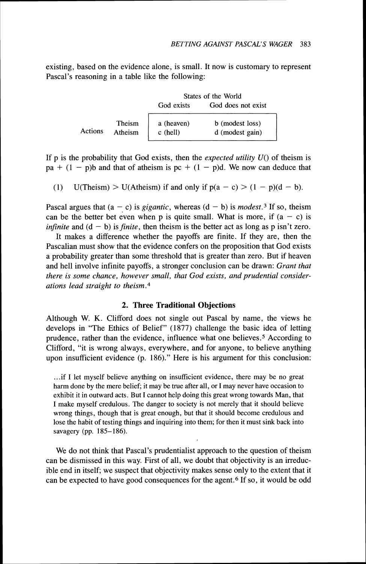existing, based on the evidence alone, is small. It now is customary to represent Pascal's reasoning in a table like the following:

|         |                   | States of the World      |                                    |  |
|---------|-------------------|--------------------------|------------------------------------|--|
|         |                   | God exists               | God does not exist                 |  |
| Actions | Theism<br>Atheism | a (heaven)<br>$c$ (hell) | b (modest loss)<br>d (modest gain) |  |

If p is the probability that God exists, then the *expected utility U()* of theism is  $pa + (1 - p)b$  and that of atheism is  $pc + (1 - p)d$ . We now can deduce that

(1) U(Theism) > U(Atheism) if and only if  $p(a - c)$  >  $(1 - p)(d - b)$ .

Pascal argues that  $(a - c)$  is *gigantic*, whereas  $(d - b)$  is *modest*.<sup>3</sup> If so, theism can be the better bet even when p is quite small. What is more, if  $(a - c)$  is *infinite* and  $(d - b)$  is *finite*, then theism is the better act as long as p isn't zero.

It makes a difference whether the payoffs are finite. If they are, then the Pascalian must show that the evidence confers on the proposition that God exists a probability greater than some threshold that is greater than zero. But if heaven and hell involve infinite payoffs, a stronger conclusion can be drawn: *Grant that there is some chance, however small, that God exists, and prudential considerations lead straight to theism.4* 

#### **2. Three Traditional Objections**

Although W. K. Clifford does not single out Pascal by name, the views he develops in "The Ethics of Belief" (1877) challenge the basic idea of letting prudence, rather than the evidence, influence what one believes.5 According to Clifford, "it is wrong always, everywhere, and for anyone, to believe anything upon insufficient evidence (p. 186)." Here is his argument for this conclusion:

...if I let myself believe anything on insufficient evidence, there may be no great harm done by the mere belief; it may be true after all, or I may never have occasion to exhibit it in outward acts. But I cannot help doing this great wrong towards Man, that I make myself credulous. The danger to society is not merely that it should believe wrong things, though that is great enough, but that it should become credulous and lose the habit of testing things and inquiring into them; for then it must sink back into savagery **(pp.** 185- 186).

We do not think that Pascal's prudentialist approach to the question of theism can be dismissed in this way. First of all, we doubt that objectivity is an irreducible end in itself; we suspect that objectivity makes sense only to the extent that it can be expected to have good consequences for the agent.6 If so, it would be odd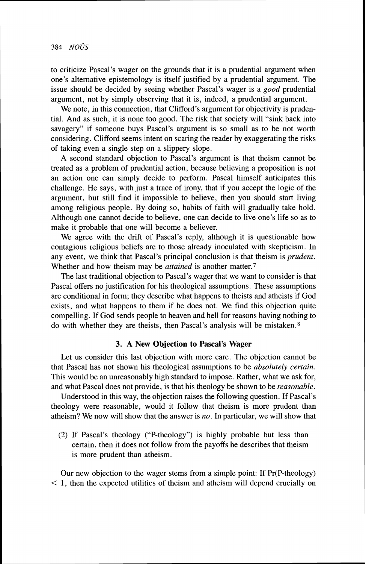to criticize Pascal's wager on the grounds that it is a prudential argument when one's alternative epistemology is itself justified by a prudential argument. The issue should be decided by seeing whether Pascal's wager is a *good* prudential argument, not by simply observing that it is, indeed, a prudential argument.

We note, in this connection, that Clifford's argument for objectivity is prudential. And as such, it is none too good. The risk that society will "sink back into savagery" if someone buys Pascal's argument is so small as to be not worth considering. Clifford seems intent on scaring the reader by exaggerating the risks of taking even a single step on a slippery slope.

A second standard objection to Pascal's argument is that theism cannot be treated as a problem of prudential action, because believing a proposition is not an action one can simply decide to perform. Pascal himself anticipates this challenge. He says, with just a trace of irony, that if you accept the logic of the argument, but still find it impossible to believe, then you should start living among religious people. By doing so, habits of faith will gradually take hold. Although one cannot decide to believe, one can decide to live one's life so as to make it probable that one will become a believer.

We agree with the drift of Pascal's reply, although it is questionable how contagious religious beliefs are to those already inoculated with skepticism. In any event, we think that Pascal's principal conclusion is that theism is *prudent.*  Whether and how theism may be *attained* is another matter.7

The last traditional objection to Pascal's wager that we want to consider is that Pascal offers no justification for his theological assumptions. These assumptions are conditional in form; they describe what happens to theists and atheists if God exists, and what happens to them if he does not. We find this objection quite compelling. If God sends people to heaven and hell for reasons having nothing to do with whether they are theists, then Pascal's analysis will be mistaken. $8$ 

# **3. A New Objection to Pascal's Wager**

Let us consider this last objection with more care. The objection cannot be that Pascal has not shown his theological assumptions to be *absolutely certain.*  This would be an unreasonably high standard to impose. Rather, what we ask for, and what Pascal does not provide, is that his theology be shown to be *reasonable.* 

Understood in this way, the objection raises the following question. If Pascal's theology were reasonable, would it follow that theism is more prudent than atheism? We now will show that the answer is *no.* In particular, we will show that

(2) If Pascal's theology ("P-theology") is highly probable but less than certain, then it does not follow from the payoffs he describes that theism is more prudent than atheism.

Our new objection to the wager stems from a simple point: If  $Pr(P-theology)$  $\leq$  1, then the expected utilities of theism and atheism will depend crucially on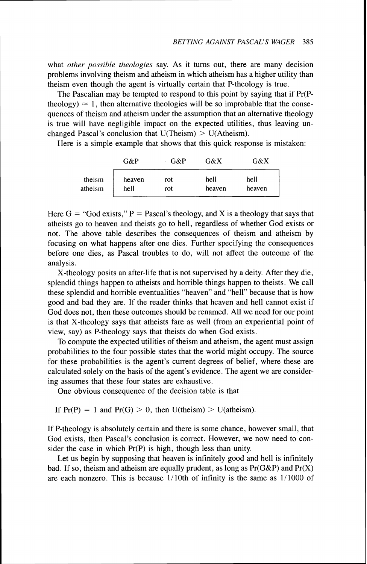what *other possible theologies* say. As it turns out, there are many decision problems involving theism and atheism in which atheism has a higher utility than theism even though the agent is virtually certain that P-theology is true.

The Pascalian may be tempted to respond to this point by saying that if Pr(Ptheology)  $\approx$  1, then alternative theologies will be so improbable that the consequences of theism and atheism under the assumption that an alternative theology is true will have negligible impact on the expected utilities, thus leaving unchanged Pascal's conclusion that  $U(Theism) > U(Atheism)$ .

Here is a simple example that shows that this quick response is mistaken:

|         | G&P    | $-G\&P$ | G&X    | $-G\&X$ |
|---------|--------|---------|--------|---------|
| theism  | heaven | rot     | hell   | hell    |
| atheism | hell   | rot     | heaven | heaven  |

Here  $G = "God exists." P = Pascal's theory, and X is a theory that says that$ atheists go to heaven and theists go to hell, regardless of whether God exists or not. The above table describes the consequences of theism and atheism by focusing on what happens after one dies. Further specifying the consequences before one dies, as Pascal troubles to do, will not affect the outcome of the analysis.

X-theology posits an after-life that is not supervised by a deity. After they die, splendid things happen to atheists and horrible things happen to theists. We call these splendid and horrible eventualities "heaven" and "hell" because that is how good and bad they are. If the reader thinks that heaven and hell cannot exist if God does not, then these outcomes should be renamed. All we need for our point is that X-theology says that atheists fare as well (from an experiential point of view, say) as P-theology says that theists do when God exists.

To compute the expected utilities of theism and atheism, the agent must assign probabilities to the four possible states that the world might occupy. The source for these probabilities is the agent's current degrees of belief, where these are calculated solely on the basis of the agent's evidence. The agent we are considering assumes that these four states are exhaustive.

One obvious consequence of the decision table is that

If  $Pr(P) = 1$  and  $Pr(G) > 0$ , then  $U($ theism $) > U($ atheism $)$ .

If P-theology is absolutely certain and there is some chance, however small, that God exists, then Pascal's conclusion is correct. However, we now need to consider the case in which  $Pr(P)$  is high, though less than unity.

Let us begin by supposing that heaven is infinitely good and hell is infinitely bad. If so, theism and atheism are equally prudent, as long as  $Pr(G\&P)$  and  $Pr(X)$ are each nonzero. This is because  $1/10$ th of infinity is the same as  $1/1000$  of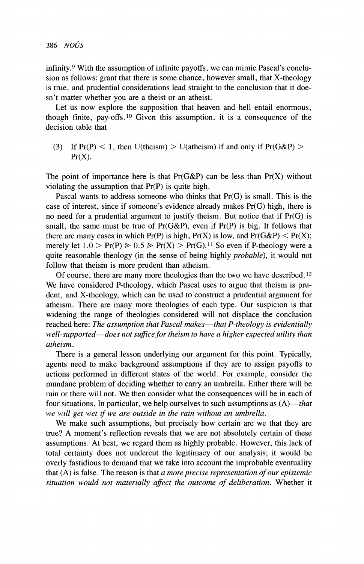infinity.9 With the assumption of infinite payoffs, we can mimic Pascal's conclusion as follows: grant that there is some chance, however small, that X-theology is true, and prudential considerations lead straight to the conclusion that it doesn't matter whether you are a theist or an atheist.

Let us now explore the supposition that heaven and hell entail enormous, though finite, pay-offs.10 Given this assumption, it is a consequence of the decision table that

(3) If  $Pr(P) < 1$ , then U(theism)  $>$  U(atheism) if and only if  $Pr(G\&P)$  $Pr(X)$ .

The point of importance here is that  $Pr(G\&P)$  can be less than  $Pr(X)$  without violating the assumption that Pr(P) is quite high.

Pascal wants to address someone who thinks that Pr(G) is small. This is the case of interest, since if someone's evidence already makes Pr(G) high, there is no need for a prudential argument to justify theism. But notice that if Pr(G) is small, the same must be true of  $Pr(G\&P)$ , even if  $Pr(P)$  is big. It follows that there are many cases in which  $Pr(P)$  is high,  $Pr(X)$  is low, and  $Pr(G\&P) < Pr(X)$ ; merely let  $1.0 > Pr(P) \ge 0.5 \ge Pr(X) > Pr(G).$ <sup>11</sup> So even if P-theology were a quite reasonable theology (in the sense of being highly *probable),* it would not follow that theism is more prudent than atheism.

Of course, there are many more theologies than the two we have described.12 We have considered P-theology, which Pascal uses to argue that theism is prudent, and X-theology, which can be used to construct a prudential argument for atheism. There are many more theologies of each type. Our suspicion is that widening the range of theologies considered will not displace the conclusion reached here: *The assumption that Pascal makes—that P-theology is evidentially well-supported-does not suffice for theism to have a higher expected utility than atheism.* 

There is a general lesson underlying our argument for this point. Typically, agents need to make background assumptions if they are to assign payoffs to actions performed in different states of the world. For example, consider the mundane problem of deciding whether to carry an umbrella. Either there will be rain or there will not. We then consider what the consequences will be in each of four situations. In particular, we help ourselves to such assumptions as  $(A)$ —that *we will get wet if we are outside in the rain without an umbrella.* 

We make such assumptions, but precisely how certain are we that they are true? A moment's reflection reveals that we are not absolutely certain of these assumptions. At best, we regard them as highly probable. However, this lack of total certainty does not undercut the legitimacy of our analysis; it would be overly fastidious to demand that we take into account the improbable eventuality that (A) is false. The reason is that *a more precise representation of our epistemic situation would not materially affect the outcome of deliberation.* Whether it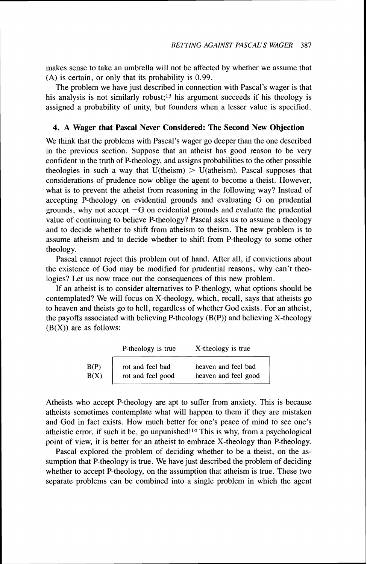makes sense to take an umbrella will not be affected by whether we assume that (A) is certain, or only that its probability is 0.99.

The problem we have just described in connection with Pascal's wager is that his analysis is not similarly robust;<sup>13</sup> his argument succeeds if his theology is assigned a probability of unity, but founders when a lesser value is specified.

## **4. A Wager that Pascal Never Considered: The Second New Objection**

We think that the problems with Pascal's wager go deeper than the one described in the previous section. Suppose that an atheist has good reason to be very confident in the truth of P-theology, and assigns probabilities to the other possible theologies in such a way that  $U$ (theism)  $> U$ (atheism). Pascal supposes that considerations of prudence now oblige the agent to become a theist. However, what is to prevent the atheist from reasoning in the following way? Instead of accepting P-theology on evidential grounds and evaluating G on prudential grounds, why not accept  $-G$  on evidential grounds and evaluate the prudential value of continuing to believe P-theology? Pascal asks us to assume a theology and to decide whether to shift from atheism to theism. The new problem is to assume atheism and to decide whether to shift from P-theology to some other theology.

Pascal cannot reject this problem out of hand. After all, if convictions about the existence of God may be modified for prudential reasons, why can't theologies? Let us now trace out the consequences of this new problem.

If an atheist is to consider alternatives to P-theology, what options should be contemplated? We will focus on X-theology, which, recall, says that atheists go to heaven and theists go to hell, regardless of whether God exists. For an atheist, the payoffs associated with believing P-theology (B(P)) and believing X-theology  $(B(X))$  are as follows:

|      | P-theology is true | X-theology is true   |
|------|--------------------|----------------------|
| B(P) | rot and feel bad   | heaven and feel bad  |
| B(X) | rot and feel good  | heaven and feel good |

Atheists who accept P-theology are apt to suffer from anxiety. This is because atheists sometimes contemplate what will happen to them if they are mistaken and God in fact exists. How much better for one's peace of mind to see one's atheistic error, if such it be, go unpunished!14 This is why, from a psychological point of view, it is better for an atheist to embrace X-theology than P-theology.

Pascal explored the problem of deciding whether to be a theist, on the assumption that P-theology is true. We have just described the problem of deciding whether to accept P-theology, on the assumption that atheism is true. These two separate problems can be combined into a single problem in which the agent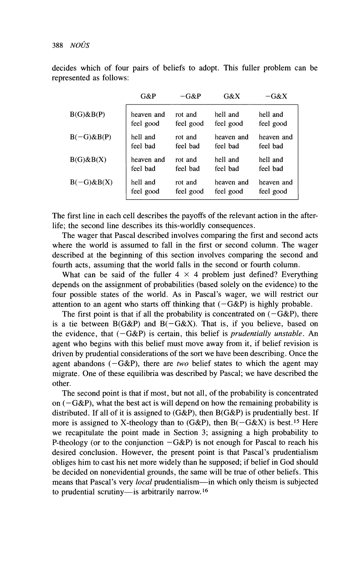388  $NO\hat{U}S$ 

decides which of four pairs of beliefs to adopt. This fuller problem can be represented as follows:

|                  | $G\&P$     | $-G\&P$   | G&X        | $-G&X$     |
|------------------|------------|-----------|------------|------------|
| $B(G)$ & $B(P)$  | heaven and | rot and   | hell and   | hell and   |
|                  | feel good  | feel good | feel good  | feel good  |
| $B(-G)$ & $B(P)$ | hell and   | rot and   | heaven and | heaven and |
|                  | feel bad   | feel bad  | feel bad   | feel bad   |
| $B(G)$ & $B(X)$  | heaven and | rot and   | hell and   | hell and   |
|                  | feel bad   | feel bad  | feel bad   | feel bad   |
| $B(-G)$ & $B(X)$ | hell and   | rot and   | heaven and | heaven and |
|                  | feel good  | feel good | feel good  | feel good  |

The first line in each cell describes the payoffs of the relevant action in the afterlife; the second line describes its this-worldly consequences.

The wager that Pascal described involves comparing the first and second acts where the world is assumed to fall in the first or second column. The wager described at the beginning of this section involves comparing the second and fourth acts, assuming that the world falls in the second or fourth column.

What can be said of the fuller  $4 \times 4$  problem just defined? Everything depends on the assignment of probabilities (based solely on the evidence) to the four possible states of the world. As in Pascal's wager, we will restrict our attention to an agent who starts off thinking that  $(-G\&P)$  is highly probable.

The first point is that if all the probability is concentrated on  $(-G\&P)$ , there is a tie between  $B(G\&P)$  and  $B(-G\&X)$ . That is, if you believe, based on the evidence, that  $(-G\&P)$  is certain, this belief is *prudentially unstable*. An agent who begins with this belief must move away from it, if belief revision is driven by prudential considerations of the sort we have been describing. Once the agent abandons  $(-G\&P)$ , there are two belief states to which the agent may migrate. One of these equilibria was described by Pascal; we have described the other.

The second point is that if most, but not all, of the probability is concentrated on  $(-G\&P)$ , what the best act is will depend on how the remaining probability is distributed. If all of it is assigned to  $(G\&P)$ , then  $B(G\&P)$  is prudentially best. If more is assigned to X-theology than to (G&P), then  $B(-G\&X)$  is best.<sup>15</sup> Here we recapitulate the point made in Section 3; assigning a high probability to P-theology (or to the conjunction  $-G\&P$ ) is not enough for Pascal to reach his desired conclusion. However, the present point is that Pascal's prudentialism obliges him to cast his net more widely than he supposed; if belief in God should be decided on nonevidential grounds, the same will be true of other beliefs. This means that Pascal's very *local* prudentialism-in which only theism is subjected to prudential scrutiny-is arbitrarily narrow.<sup>16</sup>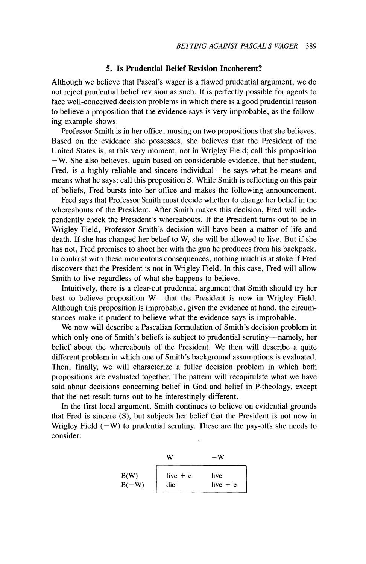#### **5. Is Prudential Belief Revision Incoherent?**

Although we believe that Pascal's wager is a flawed prudential argument, we do not reject prudential belief revision as such. It is perfectly possible for agents to face well-conceived decision problems in which there is a good prudential reason to believe a proposition that the evidence says is very improbable, as the following example shows.

Professor Smith is in her office, musing on two propositions that she believes. Based on the evidence she possesses, she believes that the President of the United States is, at this very moment, not in Wrigley Field; call this proposition  $-W$ . She also believes, again based on considerable evidence, that her student, Fred, is a highly reliable and sincere individual-he says what he means and means what he says; call this proposition S. While Smith is reflecting on this pair of beliefs, Fred bursts into her office and makes the following announcement.

Fred says that Professor Smith must decide whether to change her belief in the whereabouts of the President. After Smith makes this decision, Fred will independently check the President's whereabouts. If the President turns out to be in Wrigley Field, Professor Smith's decision will have been a matter of life and death. If she has changed her belief to W, she will be allowed to live. But if she has not, Fred promises to shoot her with the gun he produces from his backpack. In contrast with these momentous consequences, nothing much is at stake if Fred discovers that the President is not in Wrigley Field. In this case, Fred will allow Smith to live regardless of what she happens to believe.

Intuitively, there is a clear-cut prudential argument that Smith should try her best to believe proposition W—that the President is now in Wrigley Field. Although this proposition is improbable, given the evidence at hand, the circumstances make it prudent to believe what the evidence says is improbable.

We now will describe a Pascalian formulation of Smith's decision problem in which only one of Smith's beliefs is subject to prudential scrutiny---namely, her belief about the whereabouts of the President. We then will describe a quite different problem in which one of Smith's background assumptions is evaluated. Then, finally, we will characterize a fuller decision problem in which both propositions are evaluated together. The pattern will recapitulate what we have said about decisions concerning belief in God and belief in P-theology, except that the net result turns out to be interestingly different.

In the first local argument, Smith continues to believe on evidential grounds that Fred is sincere (S), but subjects her belief that the President is not now in Wrigley Field  $(-W)$  to prudential scrutiny. These are the pay-offs she needs to consider:

$$
W - W
$$
  
B(W)  
B(-W)  
live + e live  
die live + e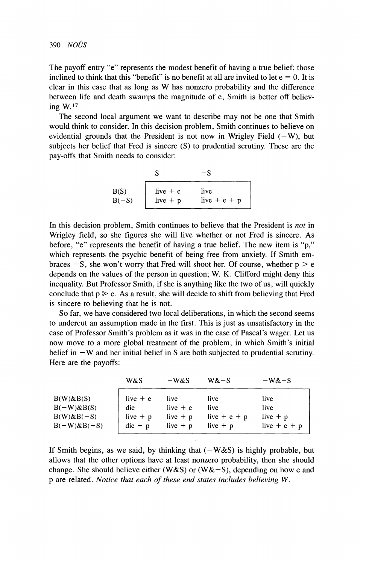The payoff entry "e" represents the modest benefit of having a true belief; those inclined to think that this "benefit" is no benefit at all are invited to let  $e = 0$ . It is clear in this case that as long as W has nonzero probability and the difference between life and death swamps the magnitude of e, Smith is better off believing W. l7

The second local argument we want to describe may not be one that Smith would think to consider. In this decision problem, Smith continues to believe on evidential grounds that the President is not now in Wrigley Field  $(-W)$ , but subjects her belief that Fred is sincere (S) to prudential scrutiny. These are the pay-offs that Smith needs to consider:

> $S \t -S$  $B(S)$ live  $+ e$  live  $B(-S)$ live + p live + e + p

In this decision problem, Smith continues to believe that the President is *not* in Wrigley field, so she figures she will live whether or not Fred is sincere. As before, "e" represents the benefit of having a true belief. The new item is "p," which represents the psychic benefit of being free from anxiety. If Smith embraces  $-S$ , she won't worry that Fred will shoot her. Of course, whether  $p > e$ depends on the values of the person in question; W. K. Clifford might deny this inequality. But Professor Smith, if she is anything like the two of us, will quickly conclude that  $p \ge e$ . As a result, she will decide to shift from believing that Fred is sincere to believing that he is not.

So far, we have considered two local deliberations, in which the second seems to undercut an assumption made in the first. This is just as unsatisfactory in the case of Professor Smith's problem as it was in the case of Pascal's wager. Let us now move to a more global treatment of the problem, in which Smith's initial belief in  $-W$  and her initial belief in S are both subjected to prudential scrutiny. Here are the payoffs:

|                   | W&S                     | $-W&S$     | W&S            | $-W&S$           |
|-------------------|-------------------------|------------|----------------|------------------|
| $B(W) \& B(S)$    | live $+$ e              | live       | live           | live             |
| $B(-W)$ & $B(S)$  | die                     | live $+$ e | live           | live             |
| $B(W)$ & $B(-S)$  | live $+ p$              | live $+ p$ | live $+ e + p$ | live $+ p$       |
| $B(-W)$ & $B(-S)$ | $\text{die} + \text{p}$ | live $+ p$ | live $+$ $p$   | live + $e$ + $p$ |

If Smith begins, as we said, by thinking that  $(-W \& S)$  is highly probable, but allows that the other options have at least nonzero probability, then she should change. She should believe either (W&S) or (W&-S), depending on how e and p are related. *Notice that each of these end states includes believing W.*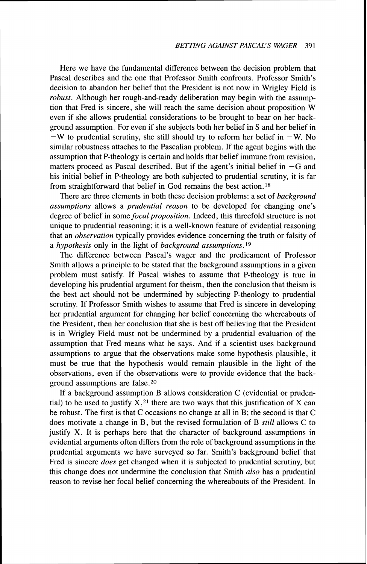Here we have the fundamental difference between the decision problem that Pascal describes and the one that Professor Smith confronts. Professor Smith's decision to abandon her belief that the President is not now in Wrigley Field is *robust.* Although her rough-and-ready deliberation may begin with the assumption that Fred is sincere, she will reach the same decision about proposition W even if she allows prudential considerations to be brought to bear on her background assumption. For even if she subjects both her belief in S and her belief in  $-W$  to prudential scrutiny, she still should try to reform her belief in  $-W$ . No similar robustness attaches to the Pascalian problem. If the agent begins with the assumption that P-theology is certain and holds that belief immune from revision, matters proceed as Pascal described. But if the agent's initial belief in *-G* and his initial belief in P-theology are both subjected to prudential scrutiny, it is far from straightforward that belief in God remains the best action.18

There are three elements in both these decision problems: a set of *background assumptions* allows a *prudential reason* to be developed for changing one's degree of belief in some *focal proposition.* Indeed, this threefold structure is not unique to prudential reasoning; it is a well-known feature of evidential reasoning that an *observation* typically provides evidence concerning the truth or falsity of a *hypothesis* only in the light of *background assumptions.* '9

The difference between Pascal's wager and the predicament of Professor Smith allows a principle to be stated that the background assumptions in a given problem must satisfy. If Pascal wishes to assume that P-theology is true in developing his prudential argument for theism, then the conclusion that theism is the best act should not be undermined by subjecting P-theology to prudential scrutiny. If Professor Smith wishes to assume that Fred is sincere in developing her prudential argument for changing her belief concerning the whereabouts of the President, then her conclusion that she is best off believing that the President is in Wrigley Field must not be undermined by a prudential evaluation of the assumption that Fred means what he says. And if a scientist uses background assumptions to argue that the observations make some hypothesis plausible, it must be true that the hypothesis would remain plausible in the light of the observations, even if the observations were to provide evidence that the background assumptions are false.20

If a background assumption B allows consideration C (evidential or prudential) to be used to justify  $X<sub>1</sub><sup>21</sup>$  there are two ways that this justification of X can be robust. The first is that C occasions no change at all in B; the second is that C does motivate a change in B, but the revised formulation of B *still* allows *C* to justify X. It is perhaps here that the character of background assumptions in evidential arguments often differs from the role of background assumptions in the prudential arguments we have surveyed so far. Smith's background belief that Fred is sincere *does* get changed when it is subjected to prudential scrutiny, but this change does not undermine the conclusion that Smith *also* has a prudential reason to revise her focal belief concerning the whereabouts of the President. In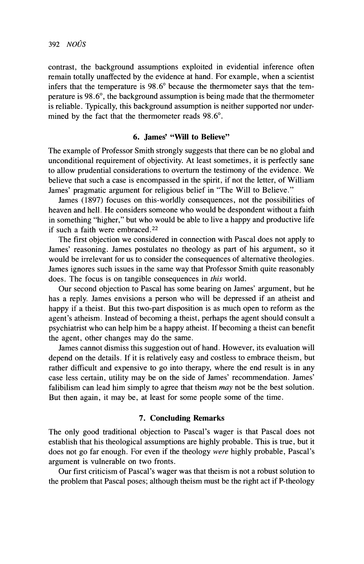contrast, the background assumptions exploited in evidential inference often remain totally unaffected by the evidence at hand. For example, when a scientist infers that the temperature is 98.6" because the thermometer says that the temperature is 98.6", the background assumption is being made that the thermometer is reliable. Typically, this background assumption is neither supported nor undermined by the fact that the thermometer reads 98.6°.

## **6. James' "Will to Believe"**

The example of Professor Smith strongly suggests that there can be no global and unconditional requirement of objectivity. At least sometimes, it is perfectly sane to allow prudential considerations to overturn the testimony of the evidence. We believe that such a case is encompassed in the spirit, if not the letter, of William James' pragmatic argument for religious belief in "The Will to Believe."

James (1897) focuses on this-worldly consequences, not the possibilities of heaven and hell. He considers someone who would be despondent without a faith in something "higher," but who would be able to live a happy and productive life if such a faith were embraced.22

The first objection we considered in connection with Pascal does not apply to James' reasoning. James postulates no theology as part of his argument, so it would be irrelevant for us to consider the consequences of alternative theologies. James ignores such issues in the same way that Professor Smith quite reasonably does. The focus is on tangible consequences in *this* world.

Our second objection to Pascal has some bearing on James' argument, but he has a reply. James envisions a person who will be depressed if an atheist and happy if a theist. But this two-part disposition is as much open to reform as the agent's atheism. Instead of becoming a theist, perhaps the agent should consult a psychiatrist who can help him be a happy atheist. If becoming a theist can benefit the agent, other changes may do the same.

James cannot dismiss this suggestion out of hand. However, its evaluation will depend on the details. If it is relatively easy and costless to embrace theism, but rather difficult and expensive to go into therapy, where the end result is in any case less certain, utility may be on the side of James' recommendation. James' falibilism can lead him simply to agree that theism *may* not be the best solution. But then again, it may be, at least for some people some of the time.

#### **7. Concluding Remarks**

The only good traditional objection to Pascal's wager is that Pascal does not establish that his theological assumptions are highly probable. This is true, but it does not go far enough. For even if the theology were highly probable, Pascal's argument is vulnerable on two fronts.

Our first criticism of Pascal's wager was that theism is not a robust solution to the problem that Pascal poses; although theism must be the right act if P-theology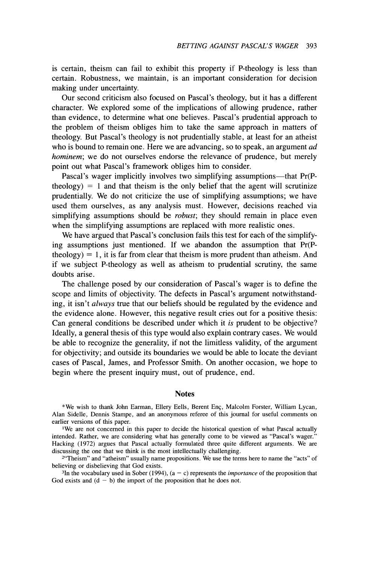is certain, theism can fail to exhibit this property if P-theology is less than certain. Robustness, we maintain, is an important consideration for decision making under uncertainty.

Our second criticism also focused on Pascal's theology, but it has a different character. We explored some of the implications of allowing prudence, rather than evidence, to determine what one believes. Pascal's prudential approach to the problem of theism obliges him to take the same approach in matters of theology. But Pascal's theology is not prudentially stable, at least for an atheist who is bound to remain one. Here we are advancing, so to speak, an argument *ad* hominem; we do not ourselves endorse the relevance of prudence, but merely point out what Pascal's framework obliges him to consider.

Pascal's wager implicitly involves two simplifying assumptions—that Pr(Ptheology)  $= 1$  and that theism is the only belief that the agent will scrutinize prudentially. We do not criticize the use of simplifying assumptions; we have used them ourselves, as any analysis must. However, decisions reached via simplifying assumptions should be *robust*; they should remain in place even when the simplifying assumptions are replaced with more realistic ones.

We have argued that Pascal's conclusion fails this test for each of the simplifying assumptions just mentioned. If we abandon the assumption that Pr(Ptheology)  $= 1$ , it is far from clear that theism is more prudent than atheism. And if we subject P-theology as well as atheism to prudential scrutiny, the same doubts arise.

The challenge posed by our consideration of Pascal's wager is to define the scope and limits of objectivity. The defects in Pascal's argument notwithstanding, it isn't *always* true that our beliefs should be regulated by the evidence and the evidence alone. However, this negative result cries out for a positive thesis: Can general conditions be described under which it is prudent to be objective? Ideally, a general thesis of this type would also explain contrary cases. We would be able to recognize the generality, if not the limitless validity, of the argument for objectivity; and outside its boundaries we would be able to locate the deviant cases of Pascal, James, and Professor Smith. On another occasion, we hope to begin where the present inquiry must, out of prudence, end.

#### **Notes**

\*We wish to thank John Earman, Ellery Eells, Berent Enç, Malcolm Forster, William Lycan, Alan Sidelle, Dennis Stampe, and an anonymous referee of this journal for useful comments on earlier versions of this paper.

'We are not concerned in this paper to decide the historical question of what Pascal actually intended. Rather, we are considering what has generally come to be viewed as "Pascal's wager." Hacking (1972) argues that Pascal actually formulated three quite different arguments. We are discussing the one that we think is the most intellectually challenging.

<sup>2</sup>"Theism" and "atheism" usually name propositions. We use the terms here to name the "acts" of believing or disbelieving that God exists.

<sup>3</sup>In the vocabulary used in Sober (1994),  $(a - c)$  represents the *importance* of the proposition that God exists and  $(d - b)$  the import of the proposition that he does not.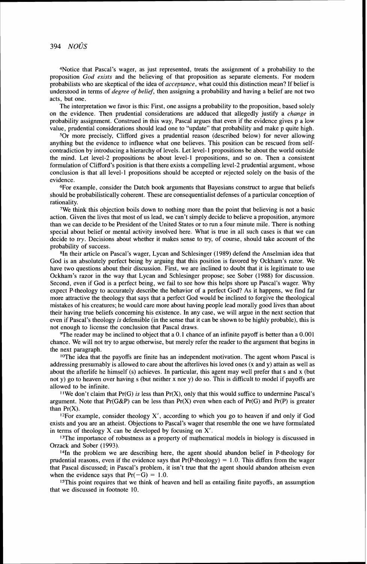4Notice that Pascal's wager, as just represented, treats the assignment of a probability to the proposition *God exists* and the believing of that proposition as separate elements. For modem probabilists who are skeptical of the idea of *acceptance,* what could this distinction mean? If belief is understood in terms of *degree* of *belief,* then assigning a probability and having a belief are not two acts, but one.

The interpretation we favor is this: First, one assigns a probability to the proposition, based solely on the evidence. Then prudential considerations are adduced that allegedly justify a *change* in probability assignment. Construed in this way, Pascal argues that even if the evidence gives p a low value, prudential considerations should lead one to "update" that probability and make p quite high.

501 more precisely, Clifford gives a prudential reason (described below) for never allowing anything but the evidence to influence what one believes. This position can be rescued from selfcontradiction by introducing a hierarchy of levels. Let level-1 propositions be about the world outside the mind. Let level-2 propositions be about level-1 propositions, and so on. Then a consistent formulation of Clifford's position is that there exists a compelling level-2 prudential argument, whose conclusion is that all level-1 propositions should be accepted or rejected solely on the basis of the evidence.

6For example, consider the Dutch book arguments that Bayesians construct to argue that beliefs should be probabilistically coherent. These are consequentialist defenses of a particular conception of rationality.

7We think this objection boils down to nothing more than the point that believing is not a basic action. Given the lives that most of us lead, we can't simply decide to believe a proposition, anymore than we can decide to be President of the United States or to run a four minute mile. There is nothing special about belief or mental activity involved here. What is true in all such cases is that we can decide to *try*. Decisions about whether it makes sense to try, of course, should take account of the probability of success.

8In their article on Pascal's wager, Lycan and Schlesinger (1989) defend the Anselmian idea that God is an absolutely perfect being by arguing that this position is favored by Ockham's razor. We have two questions about their discussion. First, we are inclined to doubt that it is legitimate to use Ockham's razor in the way that Lycan and Schlesinger propose; see Sober (1988) for discussion. Second, even if God is a perfect being, we fail to see how this helps shore up Pascal's wager. Why expect P-theology to accurately describe the behavior of a perfect God? As it happens, we find far more attractive the theology that says that a perfect God would be inclined to forgive the theological mistakes of his creatures; he would care more about having people lead morally good lives than about their having true beliefs concerning his existence. In any case, we will argue in the next section that even if Pascal's theology *is* defensible (in the sense that it can be shown to be highly probable), this is not enough to license the conclusion that Pascal draws.

9The reader may be inclined to object that a 0.1 chance of an infinite payoff is better than a 0.001 chance. We will not try to argue otherwise, but merely refer the reader to the argument that begins in the next paragraph.

<sup>10</sup>The idea that the payoffs are finite has an independent motivation. The agent whom Pascal is addressing presumably is allowed to care about the afterlives his loved ones (x and y) attain as well as about the afterlife he himself (s) achieves. In particular, this agent may well prefer that s and x (but not y) go to heaven over having s (but neither x nor y) do so. This is difficult to model if payoffs are allowed to be infinite.

<sup>11</sup>We don't claim that Pr(G) *is* less than Pr(X), only that this would suffice to undermine Pascal's argument. Note that  $Pr(G\&P)$  can be less than  $Pr(X)$  even when each of  $Pr(G)$  and  $Pr(P)$  is greater than  $Pr(X)$ .

<sup>12</sup>For example, consider theology  $X'$ , according to which you go to heaven if and only if God exists and you are an atheist. Objections to Pascal's wager that resemble the one we have formulated in terms of theology X can be developed by focusing on X'.

<sup>13</sup>The importance of robustness as a property of mathematical models in biology is discussed in Orzack and Sober (1993).

<sup>14</sup>In the problem we are describing here, the agent should abandon belief in P-theology for prudential reasons, even if the evidence says that  $Pr(P-theology) = 1.0$ . This differs from the wager that Pascal discussed; in Pascal's problem, it isn't true that the agent should abandon atheism even when the evidence says that  $Pr(-G) = 1.0$ .

15This point requires that we think of heaven and hell as entailing finite payoffs, an assumption that we discussed in footnote 10.